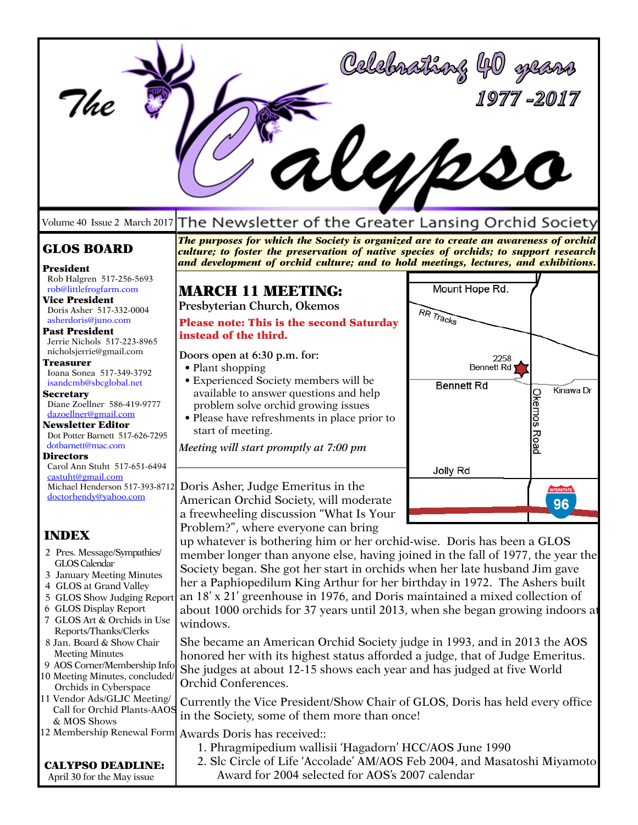| '/he                                                                                                                                                                                                                                                                                                                                                                                 | Allpe                                                                                                                                                                                                                                                                                                                                                                                                                                                                                                                                                                                                                                                                                                                                                                                                  | Celebrathoxy 40 gears<br>1977-2017                                                |
|--------------------------------------------------------------------------------------------------------------------------------------------------------------------------------------------------------------------------------------------------------------------------------------------------------------------------------------------------------------------------------------|--------------------------------------------------------------------------------------------------------------------------------------------------------------------------------------------------------------------------------------------------------------------------------------------------------------------------------------------------------------------------------------------------------------------------------------------------------------------------------------------------------------------------------------------------------------------------------------------------------------------------------------------------------------------------------------------------------------------------------------------------------------------------------------------------------|-----------------------------------------------------------------------------------|
| Volume 40 Issue 2 March 2017                                                                                                                                                                                                                                                                                                                                                         | The Newsletter of the Greater Lansing Orchid Society                                                                                                                                                                                                                                                                                                                                                                                                                                                                                                                                                                                                                                                                                                                                                   |                                                                                   |
| <b>GLOS BOARD</b>                                                                                                                                                                                                                                                                                                                                                                    | The purposes for which the Society is organized are to create an awareness of orchid<br>culture; to foster the preservation of native species of orchids; to support research<br>and development of orchid culture; and to hold meetings, lectures, and exhibitions.                                                                                                                                                                                                                                                                                                                                                                                                                                                                                                                                   |                                                                                   |
| President<br>Rob Halgren 517-256-5693<br>rob@littlefrogfarm.com<br><b>Vice President</b><br>Doris Asher 517-332-0004<br>asherdoris@juno.com<br><b>Past President</b><br>Jerrie Nichols 517-223-8965                                                                                                                                                                                  | <b>MARCH 11 MEETING:</b><br>Presbyterian Church, Okemos<br><b>Please note: This is the second Saturday</b><br>instead of the third.                                                                                                                                                                                                                                                                                                                                                                                                                                                                                                                                                                                                                                                                    | Mount Hope Rd.<br>RR Tracks                                                       |
| nicholsjerrie@gmail.com<br>Treasurer<br>Ioana Sonea 517-349-3792<br>isandcmb@sbcglobal.net<br><b>Secretary</b><br>Diane Zoellner 586-419-9777<br>dazoellner@gmail.com<br><b>Newsletter Editor</b><br>Dot Potter Barnett 517-626-7295<br>dotbarnett@mac.com                                                                                                                           | Doors open at 6:30 p.m. for:<br>• Plant shopping<br>• Experienced Society members will be<br>available to answer questions and help<br>problem solve orchid growing issues<br>• Please have refreshments in place prior to<br>start of meeting.<br>Meeting will start promptly at 7:00 pm                                                                                                                                                                                                                                                                                                                                                                                                                                                                                                              | 2258<br><b>Bennett Rd</b><br><b>Bennett Rd</b><br>Kinawa Dr<br><b>Okemos Road</b> |
| Directors<br>Carol Ann Stuht 517-651-6494<br>castuht@gmail.com<br>Michael Henderson 517-393-8712<br>doctorhendy@yahoo.com                                                                                                                                                                                                                                                            | Doris Asher, Judge Emeritus in the<br>American Orchid Society, will moderate<br>a freewheeling discussion "What Is Your                                                                                                                                                                                                                                                                                                                                                                                                                                                                                                                                                                                                                                                                                | Jolly Rd<br><b>INTERSTATE</b><br>ΩG<br>JU                                         |
| <b>INDEX</b><br>2 Pres. Message/Sympathies/<br>GLOS Calendar<br>3 January Meeting Minutes<br>4 GLOS at Grand Valley<br>5 GLOS Show Judging Report<br>6 GLOS Display Report<br>7 GLOS Art & Orchids in Use<br>Reports/Thanks/Clerks<br>8 Jan. Board & Show Chair<br><b>Meeting Minutes</b><br>9 AOS Corner/Membership Info<br>10 Meeting Minutes, concluded/<br>Orchids in Cyberspace | Problem?", where everyone can bring<br>up whatever is bothering him or her orchid-wise. Doris has been a GLOS<br>member longer than anyone else, having joined in the fall of 1977, the year the<br>Society began. She got her start in orchids when her late husband Jim gave<br>her a Paphiopedilum King Arthur for her birthday in 1972. The Ashers built<br>an 18' x 21' greenhouse in 1976, and Doris maintained a mixed collection of<br>about 1000 orchids for 37 years until 2013, when she began growing indoors at<br>windows.<br>She became an American Orchid Society judge in 1993, and in 2013 the AOS<br>honored her with its highest status afforded a judge, that of Judge Emeritus.<br>She judges at about 12-15 shows each year and has judged at five World<br>Orchid Conferences. |                                                                                   |
| 11 Vendor Ads/GLJC Meeting/<br>Call for Orchid Plants-AAOS<br>& MOS Shows<br>12 Membership Renewal Form<br><b>CALYPSO DEADLINE:</b><br>April 30 for the May issue                                                                                                                                                                                                                    | Currently the Vice President/Show Chair of GLOS, Doris has held every office<br>in the Society, some of them more than once!<br>Awards Doris has received::<br>1. Phragmipedium wallisii 'Hagadorn' HCC/AOS June 1990<br>2. Slc Circle of Life 'Accolade' AM/AOS Feb 2004, and Masatoshi Miyamoto<br>Award for 2004 selected for AOS's 2007 calendar                                                                                                                                                                                                                                                                                                                                                                                                                                                   |                                                                                   |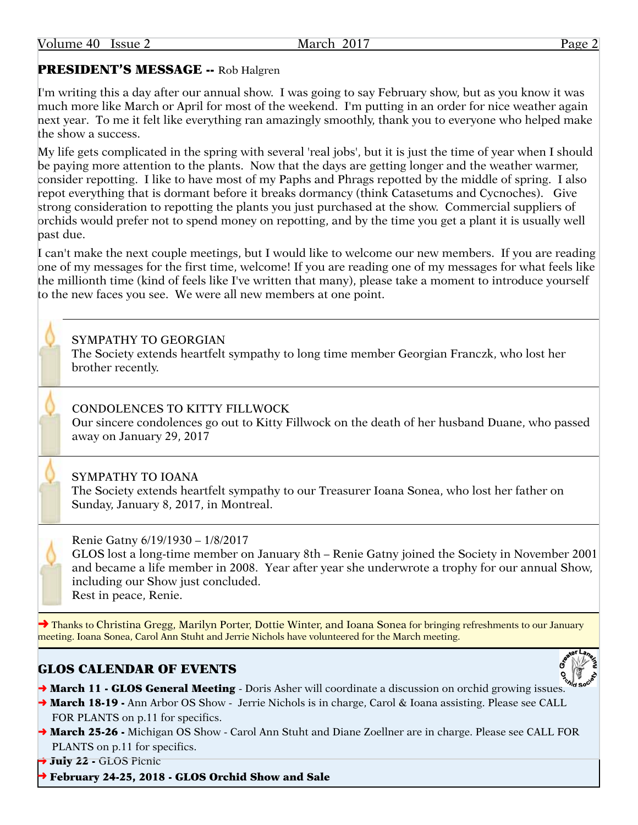#### Page 2

# PRESIDENT'S MESSAGE -- Rob Halgren

I'm writing this a day after our annual show. I was going to say February show, but as you know it was much more like March or April for most of the weekend. I'm putting in an order for nice weather again next year. To me it felt like everything ran amazingly smoothly, thank you to everyone who helped make the show a success.

My life gets complicated in the spring with several 'real jobs', but it is just the time of year when I should be paying more attention to the plants. Now that the days are getting longer and the weather warmer, consider repotting. I like to have most of my Paphs and Phrags repotted by the middle of spring. I also repot everything that is dormant before it breaks dormancy (think Catasetums and Cycnoches). Give strong consideration to repotting the plants you just purchased at the show. Commercial suppliers of orchids would prefer not to spend money on repotting, and by the time you get a plant it is usually well past due.

I can't make the next couple meetings, but I would like to welcome our new members. If you are reading one of my messages for the first time, welcome! If you are reading one of my messages for what feels like the millionth time (kind of feels like I've written that many), please take a moment to introduce yourself to the new faces you see. We were all new members at one point.

# SYMPATHY TO GEORGIAN

The Society extends heartfelt sympathy to long time member Georgian Franczk, who lost her brother recently.

# CONDOLENCES TO KITTY FILLWOCK

Our sincere condolences go out to Kitty Fillwock on the death of her husband Duane, who passed away on January 29, 2017

### SYMPATHY TO IOANA

The Society extends heartfelt sympathy to our Treasurer Ioana Sonea, who lost her father on Sunday, January 8, 2017, in Montreal.



Renie Gatny 6/19/1930 – 1/8/2017

GLOS lost a long-time member on January 8th – Renie Gatny joined the Society in November 2001 and became a life member in 2008. Year after year she underwrote a trophy for our annual Show, including our Show just concluded. Rest in peace, Renie.

◆ Thanks to Christina Gregg, Marilyn Porter, Dottie Winter, and Ioana Sonea for bringing refreshments to our January meeting. Ioana Sonea, Carol Ann Stuht and Jerrie Nichols have volunteered for the March meeting.

# GLOS CALENDAR OF EVENTS



- → March 11 GLOS General Meeting Doris Asher will coordinate a discussion on orchid growing issues.
- → March 18-19 Ann Arbor OS Show Jerrie Nichols is in charge, Carol & Ioana assisting. Please see CALL FOR PLANTS on p.11 for specifics.
- → March 25-26 Michigan OS Show Carol Ann Stuht and Diane Zoellner are in charge. Please see CALL FOR PLANTS on p.11 for specifics.

→ July 22 - GLOS Picnic

➜ February 24-25, 2018 - GLOS Orchid Show and Sale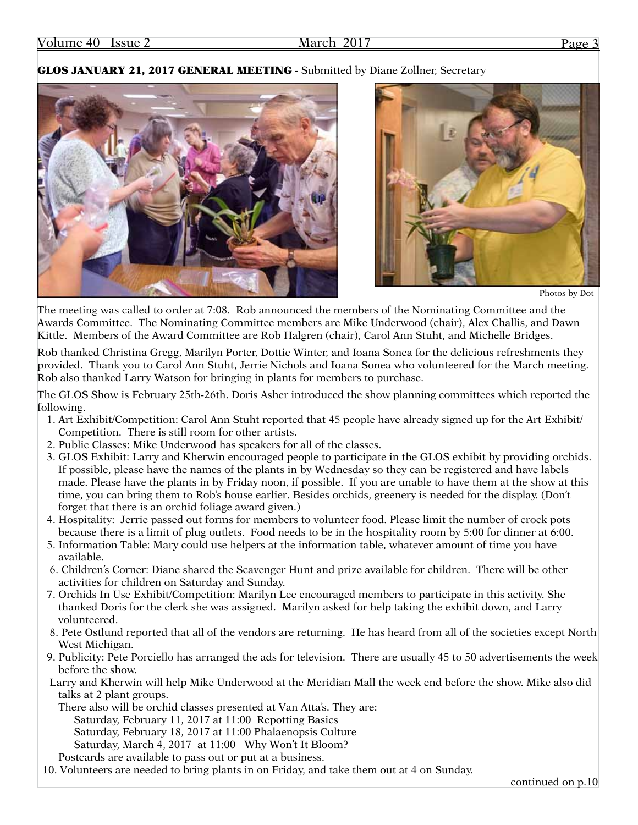#### GLOS JANUARY 21, 2017 GENERAL MEETING - Submitted by Diane Zollner, Secretary





Photos by Dot

The meeting was called to order at 7:08. Rob announced the members of the Nominating Committee and the Awards Committee. The Nominating Committee members are Mike Underwood (chair), Alex Challis, and Dawn Kittle. Members of the Award Committee are Rob Halgren (chair), Carol Ann Stuht, and Michelle Bridges.

Rob thanked Christina Gregg, Marilyn Porter, Dottie Winter, and Ioana Sonea for the delicious refreshments they provided. Thank you to Carol Ann Stuht, Jerrie Nichols and Ioana Sonea who volunteered for the March meeting. Rob also thanked Larry Watson for bringing in plants for members to purchase.

The GLOS Show is February 25th-26th. Doris Asher introduced the show planning committees which reported the following.

- 1. Art Exhibit/Competition: Carol Ann Stuht reported that 45 people have already signed up for the Art Exhibit/ Competition. There is still room for other artists.
- 2. Public Classes: Mike Underwood has speakers for all of the classes.
- 3. GLOS Exhibit: Larry and Kherwin encouraged people to participate in the GLOS exhibit by providing orchids. If possible, please have the names of the plants in by Wednesday so they can be registered and have labels made. Please have the plants in by Friday noon, if possible. If you are unable to have them at the show at this time, you can bring them to Rob's house earlier. Besides orchids, greenery is needed for the display. (Don't forget that there is an orchid foliage award given.)
- 4. Hospitality: Jerrie passed out forms for members to volunteer food. Please limit the number of crock pots because there is a limit of plug outlets. Food needs to be in the hospitality room by 5:00 for dinner at 6:00.
- 5. Information Table: Mary could use helpers at the information table, whatever amount of time you have available.
- 6. Children's Corner: Diane shared the Scavenger Hunt and prize available for children. There will be other activities for children on Saturday and Sunday.
- 7. Orchids In Use Exhibit/Competition: Marilyn Lee encouraged members to participate in this activity. She thanked Doris for the clerk she was assigned. Marilyn asked for help taking the exhibit down, and Larry volunteered.
- 8. Pete Ostlund reported that all of the vendors are returning. He has heard from all of the societies except North West Michigan.
- 9. Publicity: Pete Porciello has arranged the ads for television. There are usually 45 to 50 advertisements the week before the show.
- Larry and Kherwin will help Mike Underwood at the Meridian Mall the week end before the show. Mike also did talks at 2 plant groups.
	- There also will be orchid classes presented at Van Atta's. They are:

Saturday, February 11, 2017 at 11:00 Repotting Basics

Saturday, February 18, 2017 at 11:00 Phalaenopsis Culture

- Saturday, March 4, 2017 at 11:00 Why Won't It Bloom?
- Postcards are available to pass out or put at a business.

10. Volunteers are needed to bring plants in on Friday, and take them out at 4 on Sunday.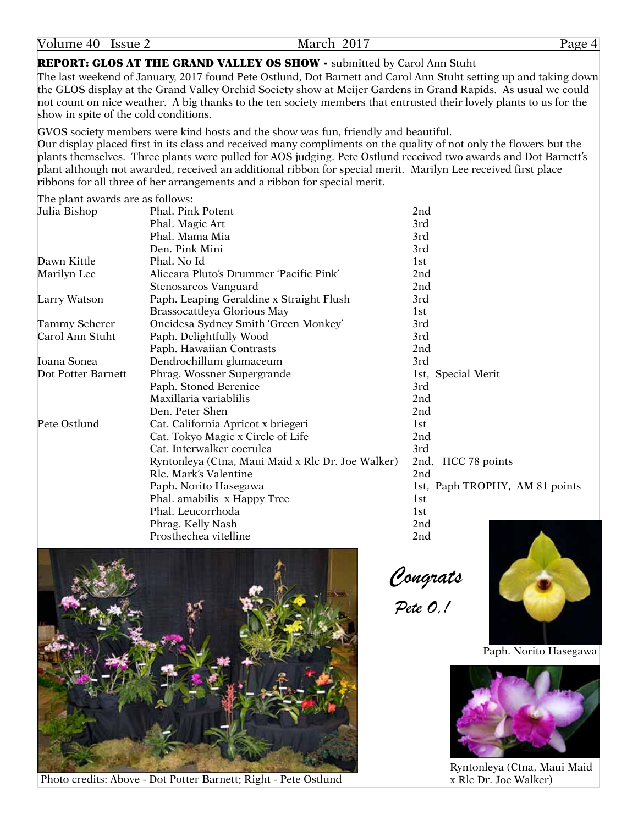March 2017 Page 4

#### REPORT: GLOS AT THE GRAND VALLEY OS SHOW - submitted by Carol Ann Stuht

The last weekend of January, 2017 found Pete Ostlund, Dot Barnett and Carol Ann Stuht setting up and taking down the GLOS display at the Grand Valley Orchid Society show at Meijer Gardens in Grand Rapids. As usual we could not count on nice weather. A big thanks to the ten society members that entrusted their lovely plants to us for the show in spite of the cold conditions.

GVOS society members were kind hosts and the show was fun, friendly and beautiful. Our display placed first in its class and received many compliments on the quality of not only the flowers but the plants themselves. Three plants were pulled for AOS judging. Pete Ostlund received two awards and Dot Barnett's plant although not awarded, received an additional ribbon for special merit. Marilyn Lee received first place ribbons for all three of her arrangements and a ribbon for special merit.

The plant awards are as follows:

| Julia Bishop         | Phal. Pink Potent                                 | 2nd                            |
|----------------------|---------------------------------------------------|--------------------------------|
|                      | Phal. Magic Art                                   | 3rd                            |
|                      | Phal. Mama Mia                                    | 3rd                            |
|                      | Den. Pink Mini                                    | 3rd                            |
| Dawn Kittle          | Phal. No Id                                       | 1st                            |
| Marilyn Lee          | Aliceara Pluto's Drummer 'Pacific Pink'           | 2nd                            |
|                      | Stenosarcos Vanguard                              | 2 <sub>nd</sub>                |
| Larry Watson         | Paph. Leaping Geraldine x Straight Flush          | 3rd                            |
|                      | Brassocattleya Glorious May                       | 1st                            |
| <b>Tammy Scherer</b> | Oncidesa Sydney Smith 'Green Monkey'              | 3rd                            |
| Carol Ann Stuht      | Paph. Delightfully Wood                           | 3rd                            |
|                      | Paph. Hawaiian Contrasts                          | 2 <sub>nd</sub>                |
| Toana Sonea          | Dendrochillum glumaceum                           | 3rd                            |
| Dot Potter Barnett   | Phrag. Wossner Supergrande                        | 1st, Special Merit             |
|                      | Paph. Stoned Berenice                             | 3rd                            |
|                      | Maxillaria variablilis                            | 2nd                            |
|                      | Den. Peter Shen                                   | 2 <sub>nd</sub>                |
| Pete Ostlund         | Cat. California Apricot x briegeri                | 1st                            |
|                      | Cat. Tokyo Magic x Circle of Life                 | 2 <sub>nd</sub>                |
|                      | Cat. Interwalker coerulea                         | 3rd                            |
|                      | Ryntonleya (Ctna, Maui Maid x Rlc Dr. Joe Walker) | 2nd, HCC 78 points             |
|                      | Rlc. Mark's Valentine                             | 2 <sub>nd</sub>                |
|                      | Paph. Norito Hasegawa                             | 1st, Paph TROPHY, AM 81 points |
|                      | Phal. amabilis x Happy Tree                       | 1st                            |
|                      | Phal. Leucorrhoda                                 | 1st                            |
|                      | Phrag. Kelly Nash                                 | 2nd                            |
|                      | Prosthechea vitelline                             | 2nd                            |



Photo credits: Above - Dot Potter Barnett; Right - Pete Ostlund

 *Congrats*

*Pete O,!*



Paph. Norito Hasegawa



Ryntonleya (Ctna, Maui Maid x Rlc Dr. Joe Walker)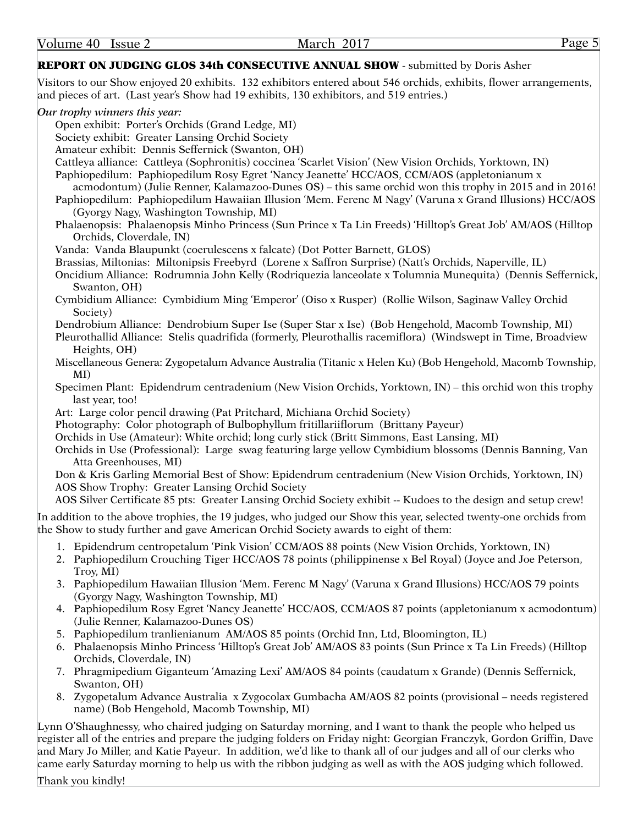#### REPORT ON JUDGING GLOS 34th CONSECUTIVE ANNUAL SHOW - submitted by Doris Asher

Visitors to our Show enjoyed 20 exhibits. 132 exhibitors entered about 546 orchids, exhibits, flower arrangements, and pieces of art. (Last year's Show had 19 exhibits, 130 exhibitors, and 519 entries.)

#### *Our trophy winners this year:*

Open exhibit: Porter's Orchids (Grand Ledge, MI)

Society exhibit: Greater Lansing Orchid Society

Amateur exhibit: Dennis Seffernick (Swanton, OH)

Cattleya alliance: Cattleya (Sophronitis) coccinea 'Scarlet Vision' (New Vision Orchids, Yorktown, IN)

Paphiopedilum: Paphiopedilum Rosy Egret 'Nancy Jeanette' HCC/AOS, CCM/AOS (appletonianum x

acmodontum) (Julie Renner, Kalamazoo-Dunes OS) – this same orchid won this trophy in 2015 and in 2016!

Paphiopedilum: Paphiopedilum Hawaiian Illusion 'Mem. Ferenc M Nagy' (Varuna x Grand Illusions) HCC/AOS (Gyorgy Nagy, Washington Township, MI)

Phalaenopsis: Phalaenopsis Minho Princess (Sun Prince x Ta Lin Freeds) 'Hilltop's Great Job' AM/AOS (Hilltop Orchids, Cloverdale, IN)

Vanda: Vanda Blaupunkt (coerulescens x falcate) (Dot Potter Barnett, GLOS)

Brassias, Miltonias: Miltonipsis Freebyrd (Lorene x Saffron Surprise) (Natt's Orchids, Naperville, IL)

Oncidium Alliance: Rodrumnia John Kelly (Rodriquezia lanceolate x Tolumnia Munequita) (Dennis Seffernick, Swanton, OH)

Cymbidium Alliance: Cymbidium Ming 'Emperor' (Oiso x Rusper) (Rollie Wilson, Saginaw Valley Orchid Society)

Dendrobium Alliance: Dendrobium Super Ise (Super Star x Ise) (Bob Hengehold, Macomb Township, MI)

- Pleurothallid Alliance: Stelis quadrifida (formerly, Pleurothallis racemiflora) (Windswept in Time, Broadview Heights, OH)
- Miscellaneous Genera: Zygopetalum Advance Australia (Titanic x Helen Ku) (Bob Hengehold, Macomb Township, MI)

Specimen Plant: Epidendrum centradenium (New Vision Orchids, Yorktown, IN) – this orchid won this trophy last year, too!

Art: Large color pencil drawing (Pat Pritchard, Michiana Orchid Society)

Photography: Color photograph of Bulbophyllum fritillariiflorum (Brittany Payeur)

Orchids in Use (Amateur): White orchid; long curly stick (Britt Simmons, East Lansing, MI)

Orchids in Use (Professional): Large swag featuring large yellow Cymbidium blossoms (Dennis Banning, Van Atta Greenhouses, MI)

Don & Kris Garling Memorial Best of Show: Epidendrum centradenium (New Vision Orchids, Yorktown, IN) AOS Show Trophy: Greater Lansing Orchid Society

AOS Silver Certificate 85 pts: Greater Lansing Orchid Society exhibit -- Kudoes to the design and setup crew!

In addition to the above trophies, the 19 judges, who judged our Show this year, selected twenty-one orchids from the Show to study further and gave American Orchid Society awards to eight of them:

- 1. Epidendrum centropetalum 'Pink Vision' CCM/AOS 88 points (New Vision Orchids, Yorktown, IN)
- 2. Paphiopedilum Crouching Tiger HCC/AOS 78 points (philippinense x Bel Royal) (Joyce and Joe Peterson, Troy, MI)
- 3. Paphiopedilum Hawaiian Illusion 'Mem. Ferenc M Nagy' (Varuna x Grand Illusions) HCC/AOS 79 points (Gyorgy Nagy, Washington Township, MI)
- 4. Paphiopedilum Rosy Egret 'Nancy Jeanette' HCC/AOS, CCM/AOS 87 points (appletonianum x acmodontum) (Julie Renner, Kalamazoo-Dunes OS)
- 5. Paphiopedilum tranlienianum AM/AOS 85 points (Orchid Inn, Ltd, Bloomington, IL)
- 6. Phalaenopsis Minho Princess 'Hilltop's Great Job' AM/AOS 83 points (Sun Prince x Ta Lin Freeds) (Hilltop Orchids, Cloverdale, IN)
- 7. Phragmipedium Giganteum 'Amazing Lexi' AM/AOS 84 points (caudatum x Grande) (Dennis Seffernick, Swanton, OH)
- 8. Zygopetalum Advance Australia x Zygocolax Gumbacha AM/AOS 82 points (provisional needs registered name) (Bob Hengehold, Macomb Township, MI)

Lynn O'Shaughnessy, who chaired judging on Saturday morning, and I want to thank the people who helped us register all of the entries and prepare the judging folders on Friday night: Georgian Franczyk, Gordon Griffin, Dave and Mary Jo Miller, and Katie Payeur. In addition, we'd like to thank all of our judges and all of our clerks who came early Saturday morning to help us with the ribbon judging as well as with the AOS judging which followed.

Thank you kindly!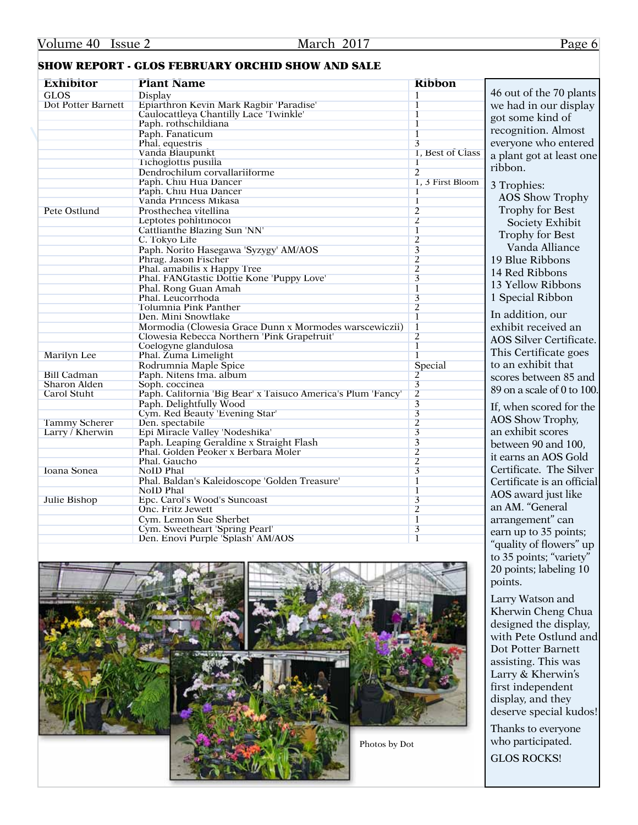## SHOW REPORT - GLOS FEBRUARY ORCHID SHOW AND SALE

| <b>Exhibitor</b>     | <b>Plant Name</b>                                            | <b>Ribbon</b>           |                            |
|----------------------|--------------------------------------------------------------|-------------------------|----------------------------|
| <b>GLOS</b>          | Display                                                      | $\overline{1}$          | 46 out of the 70 plants    |
| Dot Potter Barnett   | Epiarthron Kevin Mark Ragbir 'Paradise'                      | $\mathbf{I}$            | we had in our display      |
|                      | Caulocattleya Chantilly Lace 'Twinkle'                       | $\overline{1}$          | got some kind of           |
|                      | Paph. rothschildiana                                         | $\overline{1}$          |                            |
|                      | Paph. Fanaticum                                              | $\overline{1}$          | recognition. Almost        |
|                      | Phal. equestris                                              | 3                       | everyone who entered       |
|                      | Vanda Blaupunkt                                              | 1. Best of Class        | a plant got at least one   |
|                      | Tichoglottis pusilla                                         |                         |                            |
|                      | Dendrochilum corvallariiforme                                | $\overline{2}$          | ribbon.                    |
|                      | Paph. Chiu Hua Dancer                                        | 1. 3 First Bloom        |                            |
|                      | Paph. Chiu Hua Dancer                                        | T                       | 3 Trophies:                |
|                      | Vanda Princess Mikasa                                        | $\overline{1}$          | <b>AOS</b> Show Trophy     |
| Pete Ostlund         | Prosthechea vitellina                                        | $\overline{2}$          | Trophy for Best            |
|                      | Leptotes pohlitinocoi                                        | $\overline{2}$          | Society Exhibit            |
|                      | Cattlianthe Blazing Sun 'NN'                                 | $\overline{1}$          |                            |
|                      | C. Tokyo Life                                                | $\overline{2}$          | Trophy for Best            |
|                      | Paph. Norito Hasegawa 'Syzygy' AM/AOS                        | $\overline{\mathbf{3}}$ | Vanda Alliance             |
|                      | Phrag. Jason Fischer                                         | $\overline{2}$          | 19 Blue Ribbons            |
|                      | Phal. amabilis x Happy Tree                                  | $\overline{2}$          |                            |
|                      | Phal. FANGtastic Dottie Kone 'Puppy Love'                    | $\overline{3}$          | 14 Red Ribbons             |
|                      | Phal. Rong Guan Amah                                         | $\overline{1}$          | 13 Yellow Ribbons          |
|                      | Phal. Leucorrhoda                                            | $\overline{\mathbf{3}}$ | 1 Special Ribbon           |
|                      | Tolumnia Pink Panther                                        | $\overline{2}$          |                            |
|                      | Den. Mini Snowflake                                          | $\overline{1}$          | In addition, our           |
|                      | Mormodia (Clowesia Grace Dunn x Mormodes warscewiczii)       | $\overline{1}$          | exhibit received an        |
|                      | Clowesia Rebecca Northern 'Pink Grapetruit'                  | $\overline{2}$          |                            |
|                      | Coelogyne glandulosa                                         | $\overline{1}$          | AOS Silver Certificate.    |
| <b>Marilyn</b> Lee   | Phal. Zuma Limelight                                         | $\mathbf{1}$            | This Certificate goes      |
|                      | Rodrumnia Maple Spice                                        | Special                 | to an exhibit that         |
| <b>Bill Cadman</b>   | Paph. Nitens Ima. album                                      | $\overline{2}$          | scores between 85 and      |
| <b>Sharon Alden</b>  | Soph. coccinea                                               | $\overline{3}$          |                            |
| <b>Carol Stuht</b>   | Paph. California 'Big Bear' x Taisuco America's Plum 'Fancy' | $\overline{2}$          | 89 on a scale of 0 to 100. |
|                      | Paph. Delightfully Wood                                      | $\overline{3}$          |                            |
|                      | Cym. Red Beauty 'Evening Star'                               | $\overline{\mathbf{3}}$ | If, when scored for the    |
| <b>Tammy Scherer</b> | Den. spectabile                                              | $\overline{2}$          | AOS Show Trophy,           |
| Larry / Kherwin      | Epi Miracle Valley 'Nodeshika'                               | $\overline{\mathbf{3}}$ | an exhibit scores          |
|                      | Paph. Leaping Geraldine x Straight Flash                     | $\overline{\mathbf{3}}$ | between 90 and 100,        |
|                      | Phal. Golden Peoker x Berbara Moler                          | $\overline{2}$          |                            |
|                      | Phal. Gaucho                                                 | $\overline{2}$          | it earns an AOS Gold       |
| Ioana Sonea          | <b>NoID Phal</b>                                             | $\overline{3}$          | Certificate. The Silver    |
|                      | Phal. Baldan's Kaleidoscope 'Golden Treasure'                | $\overline{1}$          | Certificate is an official |
|                      | <b>NoID Phal</b>                                             | $\overline{1}$          |                            |
| Julie Bishop         | Epc. Carol's Wood's Suncoast                                 | $\overline{3}$          | AOS award just like        |
|                      | Onc. Fritz Jewett                                            | $\overline{2}$          | an AM. "General            |
|                      | Cym. Lemon Sue Sherbet                                       | $\overline{1}$          | arrangement" can           |
|                      | Cym. Sweetheart 'Spring Pearl'                               | $\overline{\mathbf{3}}$ |                            |
|                      | Den. Enovi Purple 'Splash' AM/AOS                            | T                       | earn up to 35 points;      |
|                      |                                                              |                         | "quality of flowers" up    |



Larry Watson and Kherwin Cheng Chua designed the display, with Pete Ostlund and Dot Potter Barnett assisting. This was Larry & Kherwin's first independent display, and they deserve special kudos!

to 35 points; "variety" 20 points; labeling 10

points.

Thanks to everyone who participated. GLOS ROCKS!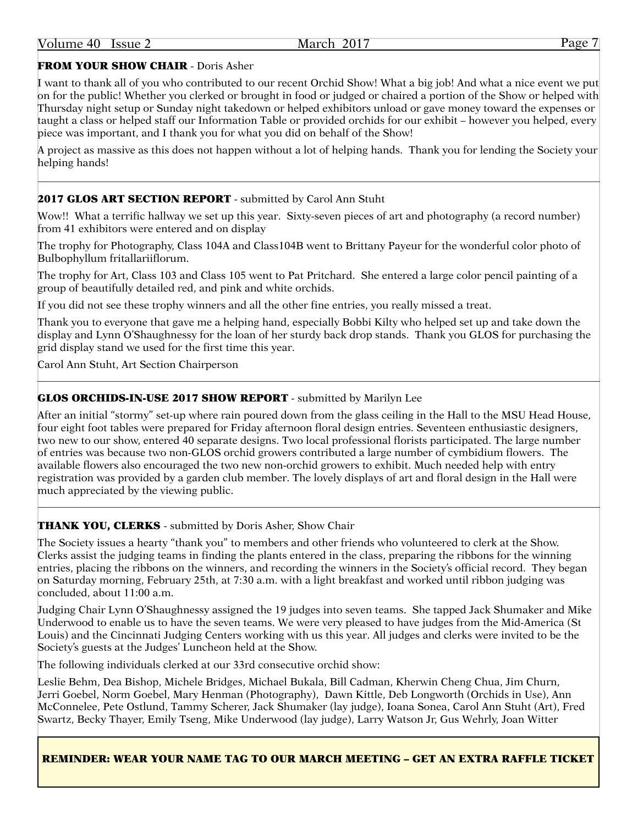#### FROM YOUR SHOW CHAIR - Doris Asher

I want to thank all of you who contributed to our recent Orchid Show! What a big job! And what a nice event we put on for the public! Whether you clerked or brought in food or judged or chaired a portion of the Show or helped with Thursday night setup or Sunday night takedown or helped exhibitors unload or gave money toward the expenses or taught a class or helped staff our Information Table or provided orchids for our exhibit – however you helped, every piece was important, and I thank you for what you did on behalf of the Show!

A project as massive as this does not happen without a lot of helping hands. Thank you for lending the Society your helping hands!

#### 2017 GLOS ART SECTION REPORT - submitted by Carol Ann Stuht

Wow!! What a terrific hallway we set up this year. Sixty-seven pieces of art and photography (a record number) from 41 exhibitors were entered and on display

The trophy for Photography, Class 104A and Class104B went to Brittany Payeur for the wonderful color photo of Bulbophyllum fritallariiflorum.

The trophy for Art, Class 103 and Class 105 went to Pat Pritchard. She entered a large color pencil painting of a group of beautifully detailed red, and pink and white orchids.

If you did not see these trophy winners and all the other fine entries, you really missed a treat.

Thank you to everyone that gave me a helping hand, especially Bobbi Kilty who helped set up and take down the display and Lynn O'Shaughnessy for the loan of her sturdy back drop stands. Thank you GLOS for purchasing the grid display stand we used for the first time this year.

Carol Ann Stuht, Art Section Chairperson

#### GLOS ORCHIDS-IN-USE 2017 SHOW REPORT - submitted by Marilyn Lee

After an initial "stormy" set-up where rain poured down from the glass ceiling in the Hall to the MSU Head House, four eight foot tables were prepared for Friday afternoon floral design entries. Seventeen enthusiastic designers, two new to our show, entered 40 separate designs. Two local professional florists participated. The large number of entries was because two non-GLOS orchid growers contributed a large number of cymbidium flowers. The available flowers also encouraged the two new non-orchid growers to exhibit. Much needed help with entry registration was provided by a garden club member. The lovely displays of art and floral design in the Hall were much appreciated by the viewing public.

#### THANK YOU, CLERKS - submitted by Doris Asher, Show Chair

The Society issues a hearty "thank you" to members and other friends who volunteered to clerk at the Show. Clerks assist the judging teams in finding the plants entered in the class, preparing the ribbons for the winning entries, placing the ribbons on the winners, and recording the winners in the Society's official record. They began on Saturday morning, February 25th, at 7:30 a.m. with a light breakfast and worked until ribbon judging was concluded, about  $11:00$  a.m.

Judging Chair Lynn O'Shaughnessy assigned the 19 judges into seven teams. She tapped Jack Shumaker and Mike Underwood to enable us to have the seven teams. We were very pleased to have judges from the Mid-America (St Louis) and the Cincinnati Judging Centers working with us this year. All judges and clerks were invited to be the Society's guests at the Judges' Luncheon held at the Show.

The following individuals clerked at our 33rd consecutive orchid show:

Leslie Behm, Dea Bishop, Michele Bridges, Michael Bukala, Bill Cadman, Kherwin Cheng Chua, Jim Churn, Jerri Goebel, Norm Goebel, Mary Henman (Photography), Dawn Kittle, Deb Longworth (Orchids in Use), Ann McConnelee, Pete Ostlund, Tammy Scherer, Jack Shumaker (lay judge), Ioana Sonea, Carol Ann Stuht (Art), Fred Swartz, Becky Thayer, Emily Tseng, Mike Underwood (lay judge), Larry Watson Jr, Gus Wehrly, Joan Witter

#### REMINDER: WEAR YOUR NAME TAG TO OUR MARCH MEETING – GET AN EXTRA RAFFLE TICKET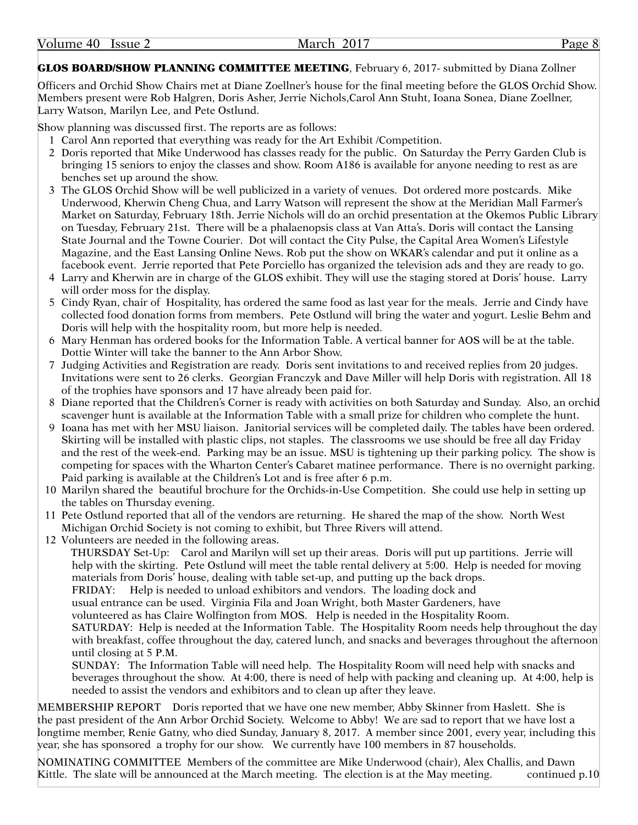#### March 2017 Page 8

#### GLOS BOARD/SHOW PLANNING COMMITTEE MEETING, February 6, 2017- submitted by Diana Zollner

Officers and Orchid Show Chairs met at Diane Zoellner's house for the final meeting before the GLOS Orchid Show. Members present were Rob Halgren, Doris Asher, Jerrie Nichols,Carol Ann Stuht, Ioana Sonea, Diane Zoellner, Larry Watson, Marilyn Lee, and Pete Ostlund.

Show planning was discussed first. The reports are as follows:

- 1 Carol Ann reported that everything was ready for the Art Exhibit /Competition.
- 2 Doris reported that Mike Underwood has classes ready for the public. On Saturday the Perry Garden Club is bringing 15 seniors to enjoy the classes and show. Room A186 is available for anyone needing to rest as are benches set up around the show.
- 3 The GLOS Orchid Show will be well publicized in a variety of venues. Dot ordered more postcards. Mike Underwood, Kherwin Cheng Chua, and Larry Watson will represent the show at the Meridian Mall Farmer's Market on Saturday, February 18th. Jerrie Nichols will do an orchid presentation at the Okemos Public Library on Tuesday, February 21st. There will be a phalaenopsis class at Van Atta's. Doris will contact the Lansing State Journal and the Towne Courier. Dot will contact the City Pulse, the Capital Area Women's Lifestyle Magazine, and the East Lansing Online News. Rob put the show on WKAR's calendar and put it online as a facebook event. Jerrie reported that Pete Porciello has organized the television ads and they are ready to go.
- 4 Larry and Kherwin are in charge of the GLOS exhibit. They will use the staging stored at Doris' house. Larry will order moss for the display.
- 5 Cindy Ryan, chair of Hospitality, has ordered the same food as last year for the meals. Jerrie and Cindy have collected food donation forms from members. Pete Ostlund will bring the water and yogurt. Leslie Behm and Doris will help with the hospitality room, but more help is needed.
- 6 Mary Henman has ordered books for the Information Table. A vertical banner for AOS will be at the table. Dottie Winter will take the banner to the Ann Arbor Show.
- 7 Judging Activities and Registration are ready. Doris sent invitations to and received replies from 20 judges. Invitations were sent to 26 clerks. Georgian Franczyk and Dave Miller will help Doris with registration. All 18 of the trophies have sponsors and 17 have already been paid for.
- 8 Diane reported that the Children's Corner is ready with activities on both Saturday and Sunday. Also, an orchid scavenger hunt is available at the Information Table with a small prize for children who complete the hunt.
- 9 Ioana has met with her MSU liaison. Janitorial services will be completed daily. The tables have been ordered. Skirting will be installed with plastic clips, not staples. The classrooms we use should be free all day Friday and the rest of the week-end. Parking may be an issue. MSU is tightening up their parking policy. The show is competing for spaces with the Wharton Center's Cabaret matinee performance. There is no overnight parking. Paid parking is available at the Children's Lot and is free after 6 p.m.
- 10 Marilyn shared the beautiful brochure for the Orchids-in-Use Competition. She could use help in setting up the tables on Thursday evening.
- 11 Pete Ostlund reported that all of the vendors are returning. He shared the map of the show. North West Michigan Orchid Society is not coming to exhibit, but Three Rivers will attend.
- 12 Volunteers are needed in the following areas.

THURSDAY Set-Up: Carol and Marilyn will set up their areas. Doris will put up partitions. Jerrie will help with the skirting. Pete Ostlund will meet the table rental delivery at 5:00. Help is needed for moving materials from Doris' house, dealing with table set-up, and putting up the back drops.

FRIDAY: Help is needed to unload exhibitors and vendors. The loading dock and

usual entrance can be used. Virginia Fila and Joan Wright, both Master Gardeners, have

volunteered as has Claire Wolfington from MOS. Help is needed in the Hospitality Room.

SATURDAY: Help is needed at the Information Table. The Hospitality Room needs help throughout the day with breakfast, coffee throughout the day, catered lunch, and snacks and beverages throughout the afternoon until closing at 5 P.M.

SUNDAY: The Information Table will need help. The Hospitality Room will need help with snacks and beverages throughout the show. At 4:00, there is need of help with packing and cleaning up. At 4:00, help is needed to assist the vendors and exhibitors and to clean up after they leave.

MEMBERSHIP REPORT Doris reported that we have one new member, Abby Skinner from Haslett. She is the past president of the Ann Arbor Orchid Society. Welcome to Abby! We are sad to report that we have lost a longtime member, Renie Gatny, who died Sunday, January 8, 2017. A member since 2001, every year, including this year, she has sponsored a trophy for our show. We currently have 100 members in 87 households.

NOMINATING COMMITTEE Members of the committee are Mike Underwood (chair), Alex Challis, and Dawn Kittle. The slate will be announced at the March meeting. The election is at the May meeting. continued p.10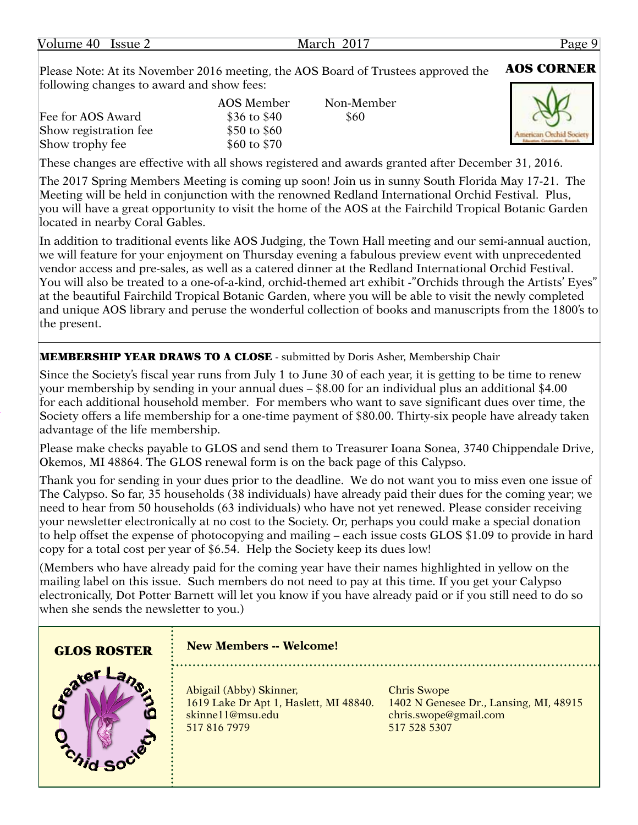| Volume 40 | Issue 2 |  |
|-----------|---------|--|
|-----------|---------|--|

Please Note: At its November 2016 meeting, the AOS Board of Trustees approved the **AOS CORNER** following changes to award and show fees:

|                       | AOS Member    | Non-Member |  |
|-----------------------|---------------|------------|--|
| Fee for AOS Award     | \$36 to $$40$ | \$60       |  |
| Show registration fee | \$50 to $$60$ |            |  |
| Show trophy fee       | \$60 to $$70$ |            |  |
|                       |               |            |  |



These changes are effective with all shows registered and awards granted after December 31, 2016.

The 2017 Spring Members Meeting is coming up soon! Join us in sunny South Florida May 17-21. The Meeting will be held in conjunction with the renowned Redland International Orchid Festival. Plus, you will have a great opportunity to visit the home of the AOS at the Fairchild Tropical Botanic Garden located in nearby Coral Gables.

In addition to traditional events like AOS Judging, the Town Hall meeting and our semi-annual auction, we will feature for your enjoyment on Thursday evening a fabulous preview event with unprecedented vendor access and pre-sales, as well as a catered dinner at the Redland International Orchid Festival. You will also be treated to a one-of-a-kind, orchid-themed art exhibit -"Orchids through the Artists' Eyes" at the beautiful Fairchild Tropical Botanic Garden, where you will be able to visit the newly completed and unique AOS library and peruse the wonderful collection of books and manuscripts from the 1800's to the present.

MEMBERSHIP YEAR DRAWS TO A CLOSE - submitted by Doris Asher, Membership Chair

Since the Society's fiscal year runs from July 1 to June 30 of each year, it is getting to be time to renew your membership by sending in your annual dues – \$8.00 for an individual plus an additional \$4.00 for each additional household member. For members who want to save significant dues over time, the Society offers a life membership for a one-time payment of \$80.00. Thirty-six people have already taken advantage of the life membership.

Please make checks payable to GLOS and send them to Treasurer Ioana Sonea, 3740 Chippendale Drive, Okemos, MI 48864. The GLOS renewal form is on the back page of this Calypso.

Thank you for sending in your dues prior to the deadline. We do not want you to miss even one issue of The Calypso. So far, 35 households (38 individuals) have already paid their dues for the coming year; we need to hear from 50 households (63 individuals) who have not yet renewed. Please consider receiving your newsletter electronically at no cost to the Society. Or, perhaps you could make a special donation to help offset the expense of photocopying and mailing – each issue costs GLOS \$1.09 to provide in hard copy for a total cost per year of \$6.54. Help the Society keep its dues low!

(Members who have already paid for the coming year have their names highlighted in yellow on the mailing label on this issue. Such members do not need to pay at this time. If you get your Calypso electronically, Dot Potter Barnett will let you know if you have already paid or if you still need to do so when she sends the newsletter to you.)

| <b>GLOS ROSTER</b> | <b>New Members -- Welcome!</b>                                                                        |                                                                                                       |
|--------------------|-------------------------------------------------------------------------------------------------------|-------------------------------------------------------------------------------------------------------|
|                    | Abigail (Abby) Skinner,<br>1619 Lake Dr Apt 1, Haslett, MI 48840.<br>skinne11@msu.edu<br>517 816 7979 | <b>Chris Swope</b><br>1402 N Genesee Dr., Lansing, MI, 48915<br>chris.swope@gmail.com<br>517 528 5307 |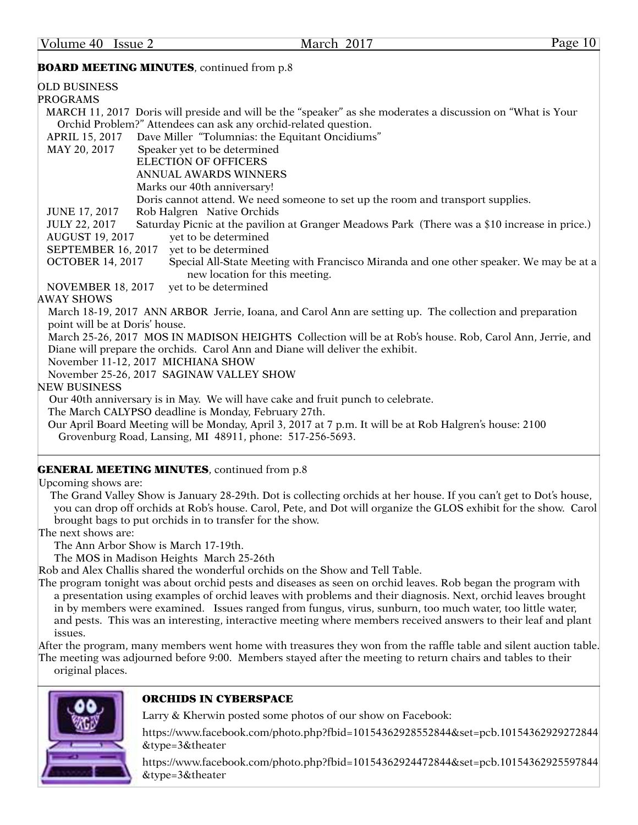#### **BOARD MEETING MINUTES**, continued from p.8

| <b>OLD BUSINESS</b>                                                                                                                                 |
|-----------------------------------------------------------------------------------------------------------------------------------------------------|
| <b>PROGRAMS</b>                                                                                                                                     |
| MARCH 11, 2017 Doris will preside and will be the "speaker" as she moderates a discussion on "What is Your                                          |
| Orchid Problem?" Attendees can ask any orchid-related question.                                                                                     |
| Dave Miller "Tolumnias: the Equitant Oncidiums"<br>APRIL 15, 2017                                                                                   |
| Speaker yet to be determined<br>MAY 20, 2017                                                                                                        |
| <b>ELECTION OF OFFICERS</b>                                                                                                                         |
| <b>ANNUAL AWARDS WINNERS</b>                                                                                                                        |
| Marks our 40th anniversary!                                                                                                                         |
| Doris cannot attend. We need someone to set up the room and transport supplies.                                                                     |
| Rob Halgren Native Orchids<br><b>JUNE 17, 2017</b>                                                                                                  |
| Saturday Picnic at the pavilion at Granger Meadows Park (There was a \$10 increase in price.)<br><b>JULY 22, 2017</b>                               |
| yet to be determined<br><b>AUGUST 19, 2017</b>                                                                                                      |
| SEPTEMBER 16, 2017<br>yet to be determined                                                                                                          |
| <b>OCTOBER 14, 2017</b><br>Special All-State Meeting with Francisco Miranda and one other speaker. We may be at a<br>new location for this meeting. |
| yet to be determined<br><b>NOVEMBER 18, 2017</b>                                                                                                    |
| <b>AWAY SHOWS</b>                                                                                                                                   |
| March 18-19, 2017 ANN ARBOR Jerrie, Ioana, and Carol Ann are setting up. The collection and preparation                                             |
| point will be at Doris' house.                                                                                                                      |
| March 25-26, 2017 MOS IN MADISON HEIGHTS Collection will be at Rob's house. Rob, Carol Ann, Jerrie, and                                             |
| Diane will prepare the orchids. Carol Ann and Diane will deliver the exhibit.                                                                       |
| November 11-12, 2017 MICHIANA SHOW                                                                                                                  |
| November 25-26, 2017 SAGINAW VALLEY SHOW                                                                                                            |
| <b>NEW BUSINESS</b>                                                                                                                                 |
| Our 40th anniversary is in May. We will have cake and fruit punch to celebrate.                                                                     |
| The March CALYPSO deadline is Monday, February 27th.                                                                                                |
| Our April Board Meeting will be Monday, April 3, 2017 at 7 p.m. It will be at Rob Halgren's house: 2100                                             |
| Grovenburg Road, Lansing, MI 48911, phone: 517-256-5693.                                                                                            |

#### **GENERAL MEETING MINUTES**, continued from p.8

Upcoming shows are:

 The Grand Valley Show is January 28-29th. Dot is collecting orchids at her house. If you can't get to Dot's house, you can drop off orchids at Rob's house. Carol, Pete, and Dot will organize the GLOS exhibit for the show. Carol brought bags to put orchids in to transfer for the show.

The next shows are:

The Ann Arbor Show is March 17-19th.

The MOS in Madison Heights March 25-26th

Rob and Alex Challis shared the wonderful orchids on the Show and Tell Table.

The program tonight was about orchid pests and diseases as seen on orchid leaves. Rob began the program with a presentation using examples of orchid leaves with problems and their diagnosis. Next, orchid leaves brought in by members were examined. Issues ranged from fungus, virus, sunburn, too much water, too little water, and pests. This was an interesting, interactive meeting where members received answers to their leaf and plant issues.

After the program, many members went home with treasures they won from the raffle table and silent auction table. The meeting was adjourned before 9:00. Members stayed after the meeting to return chairs and tables to their original places.



#### ORCHIDS IN CYBERSPACE

Larry & Kherwin posted some photos of our show on Facebook:

[https://www.facebook.com/photo.php?fbid=10154362928552844&set=pcb.10154362929272844](https://www.facebook.com/photo.php?fbid=10154362928552844&set=pcb.10154362929272844&type=3&theater) [&type=3&theater](https://www.facebook.com/photo.php?fbid=10154362928552844&set=pcb.10154362929272844&type=3&theater)

[https://www.facebook.com/photo.php?fbid=10154362924472844&set=pcb.10154362925597844](https://www.facebook.com/photo.php?fbid=10154362924472844&set=pcb.10154362925597844&type=3&theater) [&type=3&theater](https://www.facebook.com/photo.php?fbid=10154362924472844&set=pcb.10154362925597844&type=3&theater)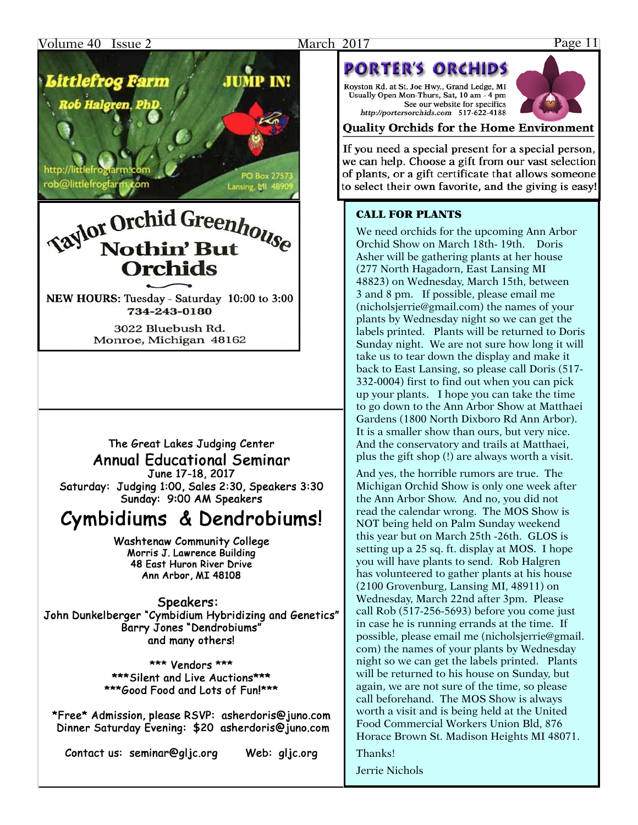#### Volume 40 Issue 2 **March 2017** Page 11



http://littlefroglarm.co rob@littlefrogfarm.com

# **Saylor Orchid Greenhouse Nothin' But** Orchids

Lansing, MI 48

NEW HOURS: Tuesday - Saturday 10:00 to 3:00 734-243-0180

> 3022 Bluebush Rd. Monroe, Michigan 48162

## The Great Lakes Judging Center **Annual Educational Seminar**

June 17-18, 2017 Saturday: Judging 1:00, Sales 2:30, Speakers 3:30 Sunday: 9:00 AM Speakers

# Cymbidiums & Dendrobiums!

**Washtenaw Community College** Morris J. Lawrence Building 48 East Huron River Drive Ann Arbor, MI 48108

Speakers: John Dunkelberger "Cymbidium Hybridizing and Genetics" Barry Jones "Dendrobiums" and many others!

> \*\*\* Vendors \*\*\* \*\*\* Silent and Live Auctions\*\*\* \*\*\*Good Food and Lots of Fun!\*\*\*

\*Free\* Admission, please RSVP: asherdoris@juno.com Dinner Saturday Evening: \$20 asherdoris@juno.com

Contact us: seminar@glic.org

Web: glic.org

# **PORTER'S ORCHIDS**

Royston Rd. at St. Joe Hwy., Grand Ledge, MI Usually Open Mon-Thurs, Sat, 10 am - 4 pm See our website for specifics http://portersorchids.com 517-622-4188



### **Ouality Orchids for the Home Environment**

If you need a special present for a special person, we can help. Choose a gift from our vast selection of plants, or a gift certificate that allows someone to select their own favorite, and the giving is easy!

#### CALL FOR PLANTS

We need orchids for the upcoming Ann Arbor Orchid Show on March 18th- 19th. Doris Asher will be gathering plants at her house (277 North Hagadorn, East Lansing MI 48823) on Wednesday, March 15th, between 3 and 8 pm. If possible, please email me ([nicholsjerrie@gmail.com\)](mailto:nicholsjerrie@gmail.com) the names of your plants by Wednesday night so we can get the labels printed. Plants will be returned to Doris Sunday night. We are not sure how long it will take us to tear down the display and make it back to East Lansing, so please call Doris (517- 332-0004) first to find out when you can pick up your plants. I hope you can take the time to go down to the Ann Arbor Show at Matthaei Gardens (1800 North Dixboro Rd Ann Arbor). It is a smaller show than ours, but very nice. And the conservatory and trails at Matthaei, plus the gift shop (!) are always worth a visit.

And yes, the horrible rumors are true. The Michigan Orchid Show is only one week after the Ann Arbor Show. And no, you did not read the calendar wrong. The MOS Show is NOT being held on Palm Sunday weekend this year but on March 25th -26th. GLOS is setting up a 25 sq. ft. display at MOS. I hope you will have plants to send. Rob Halgren has volunteered to gather plants at his house (2100 Grovenburg, Lansing MI, 48911) on Wednesday, March 22nd after 3pm. Please call Rob (517-256-5693) before you come just in case he is running errands at the time. If possible, please email me ([nicholsjerrie@gmail.](mailto:nicholsjerrie@gmail.com) [com](mailto:nicholsjerrie@gmail.com)) the names of your plants by Wednesday night so we can get the labels printed. Plants will be returned to his house on Sunday, but again, we are not sure of the time, so please call beforehand. The MOS Show is always worth a visit and is being held at the United Food Commercial Workers Union Bld, 876 Horace Brown St. Madison Heights MI 48071.

Thanks!

Jerrie Nichols